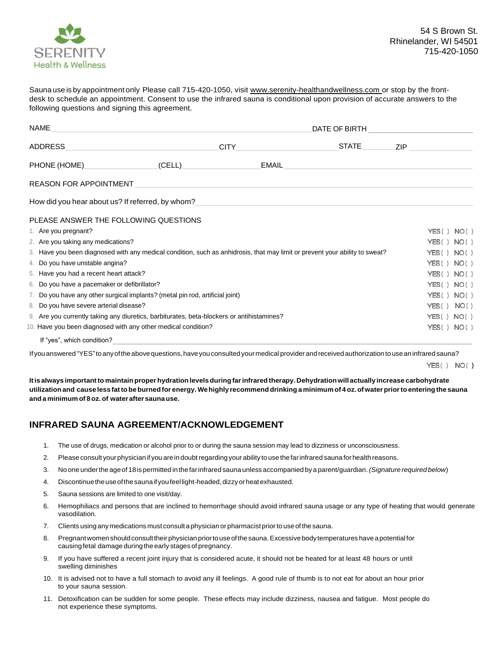

Saunause is by appointment only Please call 715-420-1050, visi[t www.serenity-healthandwellness.com](http://www.serenity-healthandwellness.com/) or stop by the frontdesk to schedule an appointment. Consent to use the infrared sauna is conditional upon provision of accurate answers to the following questions and signing this agreement.

| NAME                                                                                                                        |  | DATE OF BIRTH                                            |              |                |  |
|-----------------------------------------------------------------------------------------------------------------------------|--|----------------------------------------------------------|--------------|----------------|--|
| ADDRESS                                                                                                                     |  | <b>CITY</b>                                              | <b>STATE</b> | ZIP.           |  |
| PHONE (HOME)                                                                                                                |  | (CELL)<br>EMAIL                                          |              |                |  |
| <b>REASON FOR APPOINTMENT</b>                                                                                               |  |                                                          |              |                |  |
| How did you hear about us? If referred, by whom?                                                                            |  | <u> 1989 - John Stone, amerikansk politiker (* 1989)</u> |              |                |  |
| PLEASE ANSWER THE FOLLOWING QUESTIONS                                                                                       |  |                                                          |              |                |  |
| 1. Are you pregnant?                                                                                                        |  |                                                          |              | YES() NO()     |  |
| 2. Are you taking any medications?                                                                                          |  |                                                          |              | YES() NO()     |  |
| 3. Have you been diagnosed with any medical condition, such as anhidrosis, that may limit or prevent your ability to sweat? |  |                                                          |              | YES() NO()     |  |
| 4. Do you have unstable angina?                                                                                             |  |                                                          |              | YES() NO()     |  |
| 5. Have you had a recent heart attack?                                                                                      |  |                                                          |              | YES() NO()     |  |
| 6. Do you have a pacemaker or defibrillator?                                                                                |  |                                                          |              | YES() NO()     |  |
| 7. Do you have any other surgical implants? (metal pin rod, artificial joint)                                               |  |                                                          |              | YES() NO()     |  |
| 8. Do you have severe arterial disease?                                                                                     |  |                                                          |              | NO()<br>YES () |  |
| 9. Are you currently taking any diuretics, barbiturates, beta-blockers or antihistamines?                                   |  |                                                          |              | YES() NO()     |  |
| 10. Have you been diagnosed with any other medical condition?                                                               |  |                                                          |              | YES() NO()     |  |
| If "ves", which condition?                                                                                                  |  |                                                          |              |                |  |

If you answered "YES" to any of the above questions, have you consulted your medical provider and received authorization to use an infrared sauna?

YES() NO()

**Itis always importantto maintainproper hydrationlevelsduringfarinfraredtherapy. Dehydrationwill actually increase carbohydrate** utilization and cause less fat to be burned for energy. We highly recommend drinking a minimum of 4 oz. of water prior to entering the sauna **and a minimum of 8 oz. of water aftersaunause.**

## **INFRARED SAUNA AGREEMENT/ACKNOWLEDGEMENT**

- 1. The use of drugs, medication or alcohol prior to or during the sauna session may lead to dizziness or unconsciousness.
- 2. Please consult yourphysician if you are indoubtregarding yourability touse thefarinfrared sauna forhealth reasons.
- 3. Nooneunderthe ageof 18ispermitted inthe farinfrared sauna unless accompanied byaparent/guardian.*(Signature required below*)
- 4. Discontinue the use of the sauna if you feel light-headed, dizzy or heat exhausted.
- 5. Sauna sessions are limited to one visit/day.
- 6. Hemophiliacs and persons that are inclined to hemorrhage should avoid infrared sauna usage or any type of heating that would generate vasodilation.
- 7. Clients using anymedications must consult aphysician orpharmacist priortouse of thesauna.
- 8. Pregnant women should consult their physician prior to use of the sauna. Excessive body temperatures have a potential for causingfetal damage during the early stages of pregnancy.
- 9. If you have suffered a recent joint injury that is considered acute, it should not be heated for at least 48 hours or until swelling diminishes
- 10. It is advised not to have a full stomach to avoid any ill feelings. A good rule of thumb is to not eat for about an hour prior to your sauna session.
- 11. Detoxification can be sudden for some people. These effects may include dizziness, nausea and fatigue. Most people do not experience these symptoms.